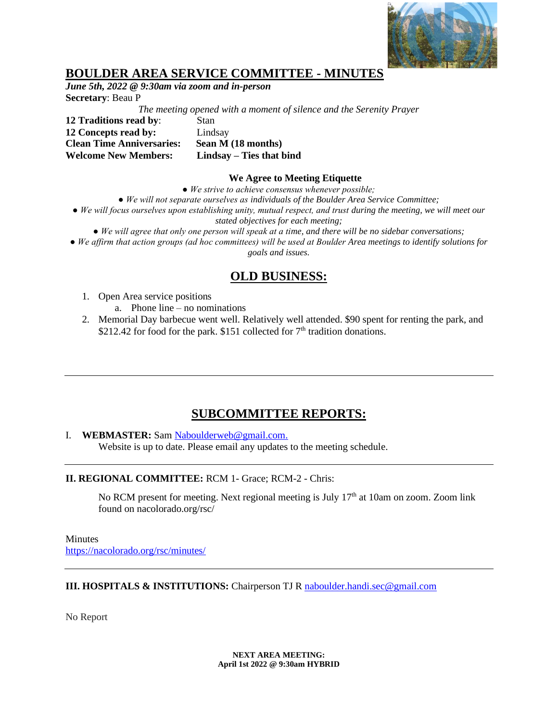

## **BOULDER AREA SERVICE COMMITTEE - MINUTES**

*June 5th, 2022 @ 9:30am via zoom and in-person* **Secretary**: Beau P

*The meeting opened with a moment of silence and the Serenity Prayer*

**12 Traditions read by**: Stan **12 Concepts read by:** Lindsay **Clean Time Anniversaries: Sean M (18 months) Welcome New Members: Lindsay – Ties that bind**

#### **We Agree to Meeting Etiquette**

*● We strive to achieve consensus whenever possible;*

*● We will not separate ourselves as individuals of the Boulder Area Service Committee;*

● We will focus ourselves upon establishing unity, mutual respect, and trust during the meeting, we will meet our *stated objectives for each meeting;*

*● We will agree that only one person will speak at a time, and there will be no sidebar conversations;*

*● We affirm that action groups (ad hoc committees) will be used at Boulder Area meetings to identify solutions for goals and issues.*

# **OLD BUSINESS:**

- 1. Open Area service positions
	- a. Phone line no nominations
- 2. Memorial Day barbecue went well. Relatively well attended. \$90 spent for renting the park, and \$212.42 for food for the park. \$151 collected for  $7<sup>th</sup>$  tradition donations.

## **SUBCOMMITTEE REPORTS:**

### I. **WEBMASTER:** Sam [Naboulderweb@gmail.com.](mailto:Naboulderweb@gmail.com)

Website is up to date. Please email any updates to the meeting schedule.

### **II. REGIONAL COMMITTEE:** RCM 1- Grace; RCM-2 - Chris:

No RCM present for meeting. Next regional meeting is July  $17<sup>th</sup>$  at 10am on zoom. Zoom link found on nacolorado.org/rsc/

**Minutes** <https://nacolorado.org/rsc/minutes/>

### **III. HOSPITALS & INSTITUTIONS:** Chairperson TJ R [naboulder.handi.sec@gmail.com](mailto:naboulder.handi.sec@gmail.com)

No Report

**NEXT AREA MEETING: April 1st 2022 @ 9:30am HYBRID**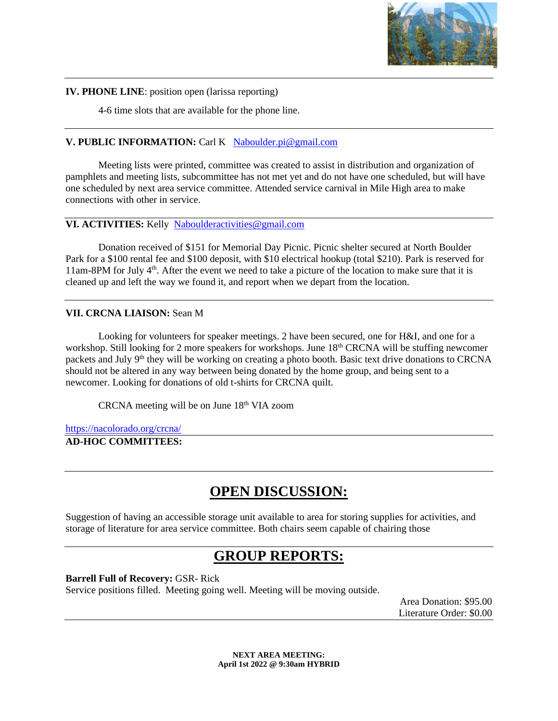

### **IV. PHONE LINE**: position open (larissa reporting)

4-6 time slots that are available for the phone line.

## **V. PUBLIC INFORMATION:** Carl K[Naboulder.pi@gmail.com](mailto:Naboulder.pi@gmail.com)

Meeting lists were printed, committee was created to assist in distribution and organization of pamphlets and meeting lists, subcommittee has not met yet and do not have one scheduled, but will have one scheduled by next area service committee. Attended service carnival in Mile High area to make connections with other in service.

## **VI. ACTIVITIES:** Kelly [Naboulderactivities@gmail.com](mailto:Naboulderactivities@gmail.com)

Donation received of \$151 for Memorial Day Picnic. Picnic shelter secured at North Boulder Park for a \$100 rental fee and \$100 deposit, with \$10 electrical hookup (total \$210). Park is reserved for 11am-8PM for July 4<sup>th</sup>. After the event we need to take a picture of the location to make sure that it is cleaned up and left the way we found it, and report when we depart from the location.

## **VII. CRCNA LIAISON:** Sean M

Looking for volunteers for speaker meetings. 2 have been secured, one for H&I, and one for a workshop. Still looking for 2 more speakers for workshops. June 18<sup>th</sup> CRCNA will be stuffing newcomer packets and July 9<sup>th</sup> they will be working on creating a photo booth. Basic text drive donations to CRCNA should not be altered in any way between being donated by the home group, and being sent to a newcomer. Looking for donations of old t-shirts for CRCNA quilt.

CRCNA meeting will be on June 18th VIA zoom

<https://nacolorado.org/crcna/>

**AD-HOC COMMITTEES:**

# **OPEN DISCUSSION:**

Suggestion of having an accessible storage unit available to area for storing supplies for activities, and storage of literature for area service committee. Both chairs seem capable of chairing those

# **GROUP REPORTS:**

**Barrell Full of Recovery:** GSR- Rick

Service positions filled. Meeting going well. Meeting will be moving outside.

Area Donation: \$95.00 Literature Order: \$0.00

**NEXT AREA MEETING: April 1st 2022 @ 9:30am HYBRID**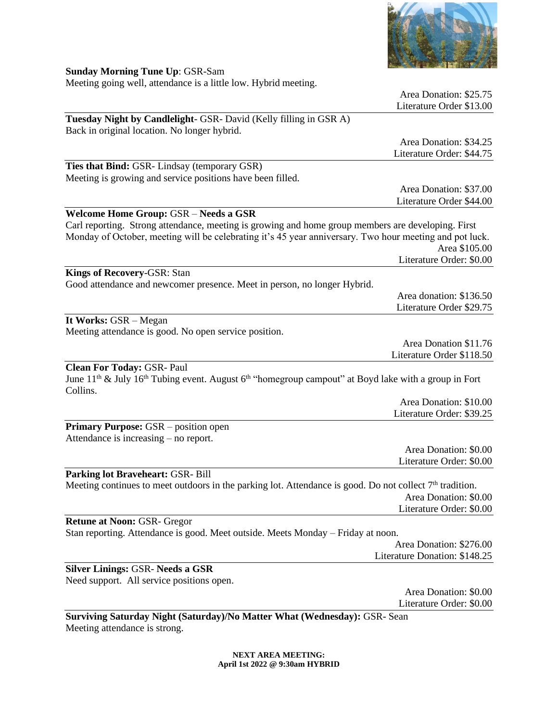

**Sunday Morning Tune Up**: GSR-Sam Meeting going well, attendance is a little low. Hybrid meeting.

|                                                                                                                                                                      | Area Donation: \$25.75<br>Literature Order \$13.00 |
|----------------------------------------------------------------------------------------------------------------------------------------------------------------------|----------------------------------------------------|
| Tuesday Night by Candlelight- GSR- David (Kelly filling in GSR A)                                                                                                    |                                                    |
| Back in original location. No longer hybrid.                                                                                                                         |                                                    |
|                                                                                                                                                                      | Area Donation: \$34.25                             |
|                                                                                                                                                                      | Literature Order: \$44.75                          |
| Ties that Bind: GSR-Lindsay (temporary GSR)                                                                                                                          |                                                    |
| Meeting is growing and service positions have been filled.                                                                                                           |                                                    |
|                                                                                                                                                                      | Area Donation: \$37.00                             |
|                                                                                                                                                                      | Literature Order \$44.00                           |
| Welcome Home Group: GSR - Needs a GSR                                                                                                                                |                                                    |
| Carl reporting. Strong attendance, meeting is growing and home group members are developing. First                                                                   |                                                    |
| Monday of October, meeting will be celebrating it's 45 year anniversary. Two hour meeting and pot luck.                                                              |                                                    |
|                                                                                                                                                                      | Area \$105.00<br>Literature Order: \$0.00          |
|                                                                                                                                                                      |                                                    |
| <b>Kings of Recovery-GSR: Stan</b><br>Good attendance and newcomer presence. Meet in person, no longer Hybrid.                                                       |                                                    |
|                                                                                                                                                                      | Area donation: \$136.50                            |
|                                                                                                                                                                      | Literature Order \$29.75                           |
| It Works: GSR - Megan                                                                                                                                                |                                                    |
| Meeting attendance is good. No open service position.                                                                                                                |                                                    |
|                                                                                                                                                                      | Area Donation \$11.76                              |
|                                                                                                                                                                      | Literature Order \$118.50                          |
| <b>Clean For Today: GSR- Paul</b><br>June $11^{th}$ & July $16^{th}$ Tubing event. August $6^{th}$ "homegroup campout" at Boyd lake with a group in Fort<br>Collins. |                                                    |
|                                                                                                                                                                      | Area Donation: \$10.00                             |
|                                                                                                                                                                      | Literature Order: \$39.25                          |
| <b>Primary Purpose:</b> GSR – position open                                                                                                                          |                                                    |
| Attendance is increasing – no report.                                                                                                                                |                                                    |
|                                                                                                                                                                      | Area Donation: \$0.00                              |
|                                                                                                                                                                      | Literature Order: \$0.00                           |
| Parking lot Braveheart: GSR- Bill                                                                                                                                    |                                                    |
| Meeting continues to meet outdoors in the parking lot. Attendance is good. Do not collect $7th$ tradition.                                                           |                                                    |
|                                                                                                                                                                      | Area Donation: \$0.00                              |
|                                                                                                                                                                      | Literature Order: \$0.00                           |
| <b>Retune at Noon: GSR- Gregor</b>                                                                                                                                   |                                                    |
| Stan reporting. Attendance is good. Meet outside. Meets Monday - Friday at noon.                                                                                     |                                                    |
|                                                                                                                                                                      | Area Donation: \$276.00                            |
|                                                                                                                                                                      | Literature Donation: \$148.25                      |
| <b>Silver Linings: GSR- Needs a GSR</b><br>Need support. All service positions open.                                                                                 |                                                    |
|                                                                                                                                                                      | Area Donation: \$0.00                              |
|                                                                                                                                                                      | Literature Order: \$0.00                           |
|                                                                                                                                                                      |                                                    |

**Surviving Saturday Night (Saturday)/No Matter What (Wednesday):** GSR- Sean Meeting attendance is strong.

> **NEXT AREA MEETING: April 1st 2022 @ 9:30am HYBRID**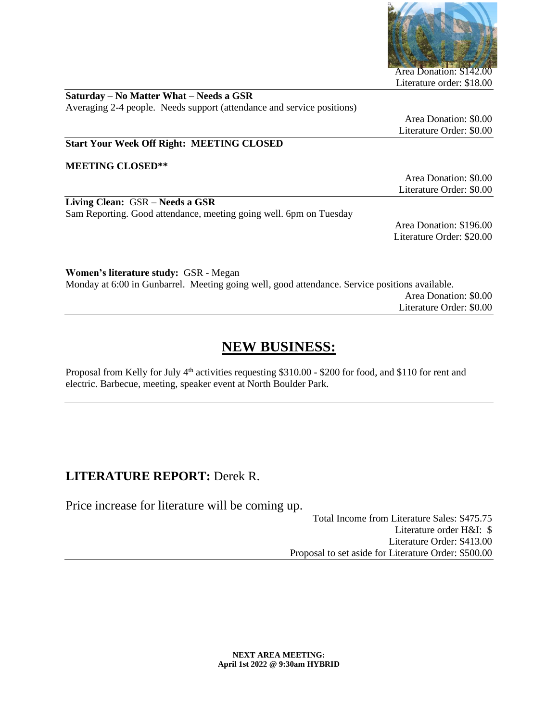

Area Donation: \$142.00 Literature order: \$18.00

| Saturday – No Matter What – Needs a GSR                                |  |
|------------------------------------------------------------------------|--|
| Averaging 2-4 people. Needs support (attendance and service positions) |  |

Area Donation: \$0.00 Literature Order: \$0.00

### **Start Your Week Off Right: MEETING CLOSED**

**MEETING CLOSED\*\***

Area Donation: \$0.00 Literature Order: \$0.00

**Living Clean:** GSR – **Needs a GSR** Sam Reporting. Good attendance, meeting going well. 6pm on Tuesday

Area Donation: \$196.00 Literature Order: \$20.00

**Women's literature study:** GSR - Megan Monday at 6:00 in Gunbarrel. Meeting going well, good attendance. Service positions available. Area Donation: \$0.00

Literature Order: \$0.00

# **NEW BUSINESS:**

Proposal from Kelly for July 4<sup>th</sup> activities requesting \$310.00 - \$200 for food, and \$110 for rent and electric. Barbecue, meeting, speaker event at North Boulder Park.

## **LITERATURE REPORT:** Derek R.

Price increase for literature will be coming up.

Total Income from Literature Sales: \$475.75 Literature order H&I: \$ Literature Order: \$413.00 Proposal to set aside for Literature Order: \$500.00